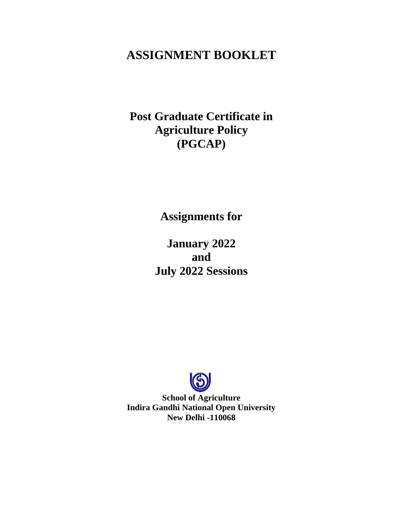# **ASSIGNMENT BOOKLET**

**Post Graduate Certificate in Agriculture Policy (PGCAP)**

**Assignments for** 

**January 2022 and July 2022 Sessions**



**School of Agriculture Indira Gandhi National Open University New Delhi -110068**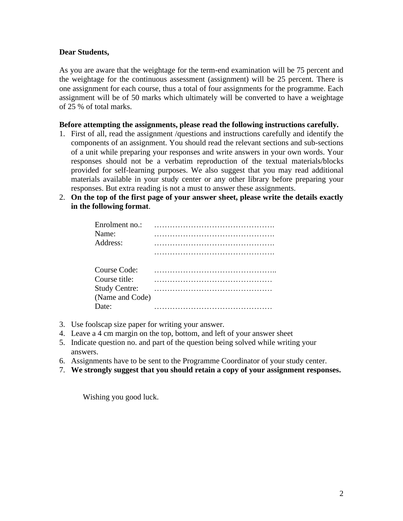### **Dear Students,**

As you are aware that the weightage for the term-end examination will be 75 percent and the weightage for the continuous assessment (assignment) will be 25 percent. There is one assignment for each course, thus a total of four assignments for the programme. Each assignment will be of 50 marks which ultimately will be converted to have a weightage of 25 % of total marks.

#### **Before attempting the assignments, please read the following instructions carefully.**

- 1. First of all, read the assignment /questions and instructions carefully and identify the components of an assignment. You should read the relevant sections and sub-sections of a unit while preparing your responses and write answers in your own words. Your responses should not be a verbatim reproduction of the textual materials/blocks provided for self-learning purposes. We also suggest that you may read additional materials available in your study center or any other library before preparing your responses. But extra reading is not a must to answer these assignments.
- 2. **On the top of the first page of your answer sheet, please write the details exactly in the following format**.

| Enrolment no.:<br>Name:<br>Address:                                                       |  |
|-------------------------------------------------------------------------------------------|--|
| Course Code:<br>Course title:<br><b>Study Centre:</b><br>(Name and Code)<br>$\text{Date}$ |  |

- 3. Use foolscap size paper for writing your answer.
- 4. Leave a 4 cm margin on the top, bottom, and left of your answer sheet
- 5. Indicate question no. and part of the question being solved while writing your answers.
- 6. Assignments have to be sent to the Programme Coordinator of your study center.
- 7. **We strongly suggest that you should retain a copy of your assignment responses.**

Wishing you good luck.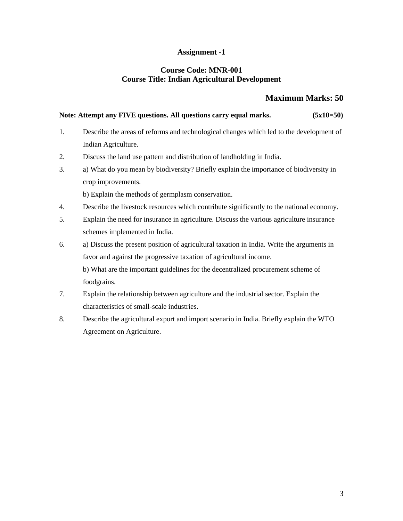## **Assignment -1**

#### **Course Code: MNR-001 Course Title: Indian Agricultural Development**

## **Maximum Marks: 50**

#### Note: Attempt any FIVE questions. All questions carry equal marks. (5x10=50)

- 1. Describe the areas of reforms and technological changes which led to the development of Indian Agriculture.
- 2. Discuss the land use pattern and distribution of landholding in India.
- 3. a) What do you mean by biodiversity? Briefly explain the importance of biodiversity in crop improvements.

b) Explain the methods of germplasm conservation.

- 4. Describe the livestock resources which contribute significantly to the national economy.
- 5. Explain the need for insurance in agriculture. Discuss the various agriculture insurance schemes implemented in India.
- 6. a) Discuss the present position of agricultural taxation in India. Write the arguments in favor and against the progressive taxation of agricultural income. b) What are the important guidelines for the decentralized procurement scheme of

foodgrains.

- 7. Explain the relationship between agriculture and the industrial sector. Explain the characteristics of small-scale industries.
- 8. Describe the agricultural export and import scenario in India. Briefly explain the WTO Agreement on Agriculture.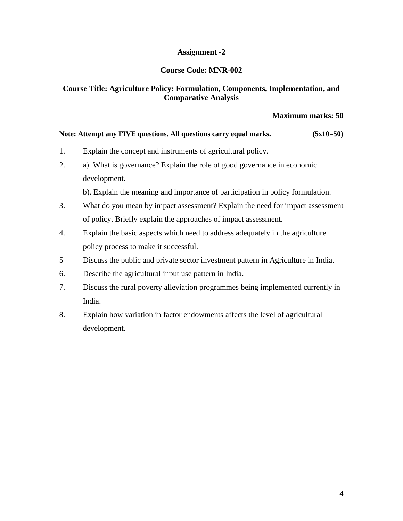# **Assignment -2**

# **Course Code: MNR-002**

# **Course Title: Agriculture Policy: Formulation, Components, Implementation, and Comparative Analysis**

## **Maximum marks: 50**

#### Note: Attempt any FIVE questions. All questions carry equal marks. (5x10=50)

- 1. Explain the concept and instruments of agricultural policy.
- 2. a). What is governance? Explain the role of good governance in economic development.

b). Explain the meaning and importance of participation in policy formulation.

- 3. What do you mean by impact assessment? Explain the need for impact assessment of policy. Briefly explain the approaches of impact assessment.
- 4. Explain the basic aspects which need to address adequately in the agriculture policy process to make it successful.
- 5 Discuss the public and private sector investment pattern in Agriculture in India.
- 6. Describe the agricultural input use pattern in India.
- 7. Discuss the rural poverty alleviation programmes being implemented currently in India.
- 8. Explain how variation in factor endowments affects the level of agricultural development.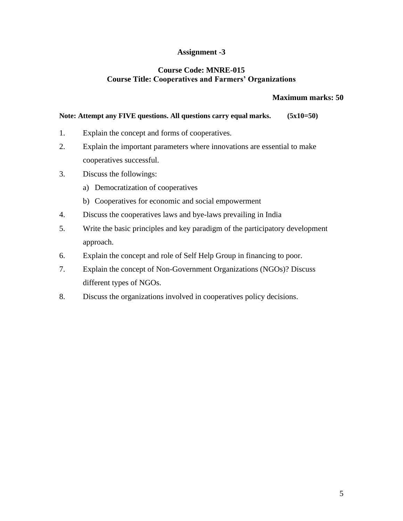# **Assignment -3**

## **Course Code: MNRE-015 Course Title: Cooperatives and Farmers' Organizations**

### **Maximum marks: 50**

#### Note: Attempt any FIVE questions. All questions carry equal marks. (5x10=50)

- 1. Explain the concept and forms of cooperatives.
- 2. Explain the important parameters where innovations are essential to make cooperatives successful.
- 3. Discuss the followings:
	- a) Democratization of cooperatives
	- b) Cooperatives for economic and social empowerment
- 4. Discuss the cooperatives laws and bye-laws prevailing in India
- 5. Write the basic principles and key paradigm of the participatory development approach.
- 6. Explain the concept and role of Self Help Group in financing to poor.
- 7. Explain the concept of Non-Government Organizations (NGOs)? Discuss different types of NGOs.
- 8. Discuss the organizations involved in cooperatives policy decisions.